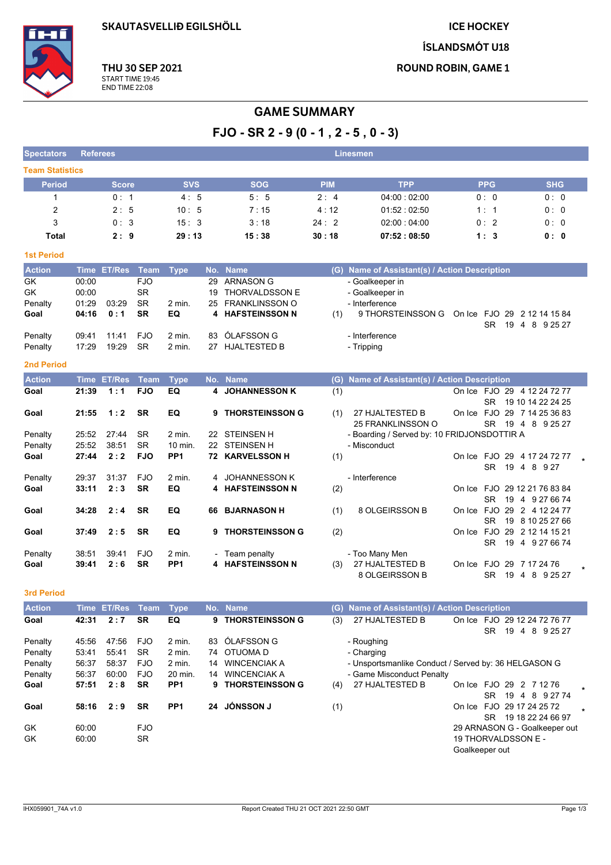**SKAUTASVELLIÐ EGILSHÖLL** 

PP<sub>1</sub>

PP<sub>1</sub>

**SR** 

**SR** 

 $FJO$ 

**SR** 

**ICE HOCKEY** 

ÍSLANDSMÓT U18

**ROUND ROBIN, GAME 1** 



THU 30 SEP 2021 START TIME 19:45 **END TIME 22:08** 

# **GAME SUMMARY**

 $FJO - SR 2 - 9 (0 - 1, 2 - 5, 0 - 3)$ 

| <b>Spectators</b>      | Referees       |                    |                         |                  |          |                        |            | Linesmen                                                           |                                          |                   |
|------------------------|----------------|--------------------|-------------------------|------------------|----------|------------------------|------------|--------------------------------------------------------------------|------------------------------------------|-------------------|
| <b>Team Statistics</b> |                |                    |                         |                  |          |                        |            |                                                                    |                                          |                   |
| <b>Period</b>          |                | <b>Score</b>       |                         | <b>SVS</b>       |          | <b>SOG</b>             | <b>PIM</b> | <b>TPP</b>                                                         | <b>PPG</b>                               | <b>SHG</b>        |
| $\mathbf{1}$           |                | 0:1                |                         | 4:5              |          | 5:5                    | 2:4        | 04:00:02:00                                                        | 0: 0                                     | 0: 0              |
| $\overline{2}$         |                | 2:5                |                         | 10:5             |          | 7:15                   | 4:12       | 01.52:02.50                                                        | 1:1                                      | 0:0               |
| 3                      |                | 0:3                |                         | 15:3             |          | 3:18                   | 24:2       | 02:00:04:00                                                        | 0:2                                      | 0: 0              |
| <b>Total</b>           |                | 2:9                |                         | 29:13            |          | 15:38                  | 30:18      | 07:52:08:50                                                        | 1:3                                      | 0: 0              |
| <b>1st Period</b>      |                |                    |                         |                  |          |                        |            |                                                                    |                                          |                   |
| <b>Action</b>          | <b>Time</b>    | <b>ET/Res</b>      | <b>Team</b>             | <b>Type</b>      | No.      | <b>Name</b>            |            | (G) Name of Assistant(s) / Action Description                      |                                          |                   |
| GK                     | 00:00          |                    | <b>FJO</b>              |                  | 29       | <b>ARNASON G</b>       |            | - Goalkeeper in                                                    |                                          |                   |
| GK                     | 00:00          |                    | <b>SR</b>               |                  | 19       | <b>THORVALDSSON E</b>  |            | - Goalkeeper in                                                    |                                          |                   |
| Penalty                | 01:29          | 03.29              | <b>SR</b>               | 2 min.           | 25       | <b>FRANKLINSSON O</b>  |            | - Interference                                                     |                                          |                   |
| Goal                   | 04:16          | 0:1                | <b>SR</b>               | EQ               | 4        | <b>HAFSTEINSSON N</b>  | (1)        | 9 THORSTEINSSON G                                                  | On Ice FJO 29 2 12 14 15 84<br>SR        | 19 4 8 9 25 27    |
| Penalty                | 09:41          | 11:41              | <b>FJO</b>              | 2 min.           | 83       | ÓLAFSSON G             |            | - Interference                                                     |                                          |                   |
| Penalty                | 17:29          | 19:29              | <b>SR</b>               | 2 min.           |          | 27 HJALTESTED B        |            | - Tripping                                                         |                                          |                   |
| <b>2nd Period</b>      |                |                    |                         |                  |          |                        |            |                                                                    |                                          |                   |
| <b>Action</b>          |                | <b>Time ET/Res</b> | <b>Team</b>             | <b>Type</b>      |          | No. Name               | (G)        | Name of Assistant(s) / Action Description                          |                                          |                   |
| Goal                   | 21:39          | 1:1                | <b>FJO</b>              | EQ               | 4        | <b>JOHANNESSON K</b>   | (1)        |                                                                    | On Ice FJO 29 4 12 24 72 77              |                   |
|                        |                |                    |                         |                  |          |                        |            |                                                                    | <b>SR</b>                                | 19 10 14 22 24 25 |
| Goal                   | 21:55          | 1:2                | <b>SR</b>               | EQ               | 9        | <b>THORSTEINSSON G</b> | (1)        | 27 HJALTESTED B<br><b>25 FRANKLINSSON O</b>                        | On Ice FJO 29 7 14 25 36 83<br><b>SR</b> | 19 4 8 9 25 27    |
| Penalty                | 25:52          | 27:44              | SR                      | 2 min.           | 22       | <b>STEINSEN H</b>      |            | - Boarding / Served by: 10 FRIDJONSDOTTIR A                        |                                          |                   |
| Penalty                | 25:52          | 38:51              | <b>SR</b>               | 10 min.          | 22       | <b>STEINSEN H</b>      |            | - Misconduct                                                       |                                          |                   |
| Goal                   | 27:44          | 2:2                | <b>FJO</b>              | PP <sub>1</sub>  |          | 72 KARVELSSON H        | (1)        |                                                                    | On Ice FJO 29 4 17 24 72 77              |                   |
|                        |                |                    |                         |                  |          |                        |            |                                                                    | <b>SR</b>                                | 19 4 8 9 27       |
| Penalty                | 29:37          | 31:37              | <b>FJO</b>              | 2 min.           | 4        | JOHANNESSON K          |            | - Interference                                                     |                                          |                   |
| Goal                   | 33:11          | 2:3                | <b>SR</b>               | EQ               | 4        | <b>HAFSTEINSSON N</b>  | (2)        |                                                                    | On Ice FJO                               | 29 12 21 76 83 84 |
| Goal                   |                | 2:4                | <b>SR</b>               | EQ               |          |                        |            |                                                                    | <b>SR</b><br>On Ice FJO 29 2 4 12 24 77  | 19 4 9 27 66 74   |
|                        | 34:28          |                    |                         |                  |          | 66 BJARNASON H         | (1)        | 8 OLGEIRSSON B                                                     | <b>SR</b>                                | 19 8 10 25 27 66  |
| Goal                   | 37:49          | 2:5                | <b>SR</b>               | EQ               | 9        | <b>THORSTEINSSON G</b> | (2)        |                                                                    | On Ice FJO 29 2 12 14 15 21              |                   |
|                        |                |                    |                         |                  |          |                        |            |                                                                    | <b>SR</b>                                | 19 4 9 27 66 74   |
| Penalty                | 38.51          | 39.41              | <b>FJO</b>              | 2 min.           |          | Team penalty           |            | - Too Many Men                                                     |                                          |                   |
| Goal                   | 39:41          | 2:6                | <b>SR</b>               | PP <sub>1</sub>  | 4        | <b>HAFSTEINSSON N</b>  | (3)        | 27 HJALTESTED B                                                    | On Ice FJO 29 7 17 24 76                 |                   |
|                        |                |                    |                         |                  |          |                        |            | 8 OLGEIRSSON B                                                     | SR.                                      | 19 4 8 9 25 27    |
| <b>3rd Period</b>      |                |                    |                         |                  |          |                        |            |                                                                    |                                          |                   |
| <b>Action</b>          |                | Time ET/Res        | <b>Team</b>             | <b>Type</b>      |          | No. Name               | (G)        | Name of Assistant(s) / Action Description                          |                                          |                   |
| Goal                   | 42:31          | 2:7                | <b>SR</b>               | EQ               | 9        | <b>THORSTEINSSON G</b> | (3)        | 27 HJALTESTED B                                                    | On Ice FJO 29 12 24 72 76 77             |                   |
|                        |                |                    |                         |                  |          |                        |            |                                                                    | SR.                                      | 19 4 8 9 25 27    |
| Penalty                | 45:56          | 47:56<br>55:41     | <b>FJO</b><br><b>SR</b> | 2 min.<br>2 min. | 83<br>74 | ÓLAFSSON G<br>OTUOMA D |            | - Roughing                                                         |                                          |                   |
| Penalty<br>Penalty     | 53:41<br>56:37 | 58:37              | <b>FJO</b>              | 2 min.           | 14       | <b>WINCENCIAK A</b>    |            | - Charging<br>- Unsportsmanlike Conduct / Served by: 36 HELGASON G |                                          |                   |
| Penalty                | 56:37          | 60:00              | <b>FJO</b>              | 20 min.          |          | 14 WINCENCIAK A        |            | - Game Misconduct Penalty                                          |                                          |                   |

- Game Misconduct Penalty On Ice FJO 29 2 7 12 76 (4) 27 HJALTESTED B SR 19 4 8 9 27 74 On Ice FJO 29 17 24 25 72  $(1)$ SR 19 18 22 24 66 97 29 ARNASON G - Goalkeeper out

19 THORVALDSSON E -Goalkeeper out

Goal

Goal

GK

 $GK$ 

 $57:51$   $2:8$ 

 $58:16$   $2:9$ 

 $60.00$ 

60:00

9 THORSTEINSSON G

24 JÓNSSON J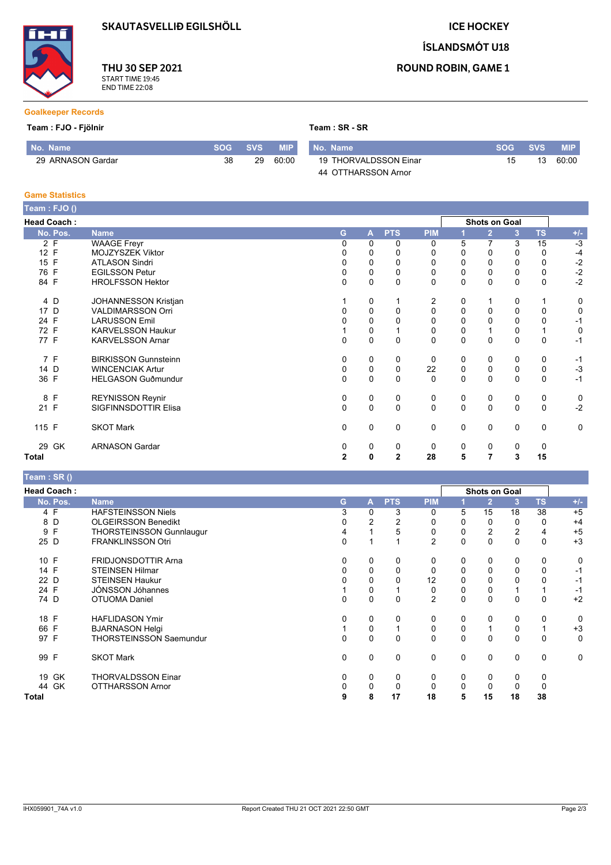**SKAUTASVELLIÐ EGILSHÖLL** 

**ICE HOCKEY** 

ÍSLANDSMÓT U18



THU 30 SEP 2021 START TIME 19:45<br>END TIME 22:08

## **ROUND ROBIN, GAME 1**

### **Goalkeeper Records**

#### Team : FJO - Fjölnir

| Team: SR - SR |  |  |
|---------------|--|--|
|               |  |  |

| l No. Name \      | <b>SOG</b> | SVS | <b>MIP</b> | No. Name              | <b>SOG</b> | <b>SVS</b> | MIP.  |
|-------------------|------------|-----|------------|-----------------------|------------|------------|-------|
| 29 ARNASON Gardar | 38         | 29  | 60:00      | 19 THORVALDSSON Einar | 15         | 13         | 60:00 |
|                   |            |     |            | 44 OTTHARSSON Arnor   |            |            |       |

#### **Game Statistics**

| Team: FJO ()       |          |                             |                |              |                |             |             |                      |              |           |             |
|--------------------|----------|-----------------------------|----------------|--------------|----------------|-------------|-------------|----------------------|--------------|-----------|-------------|
| <b>Head Coach:</b> |          |                             |                |              |                |             |             | <b>Shots on Goal</b> |              |           |             |
|                    | No. Pos. | <b>Name</b>                 | G              | A            | <b>PTS</b>     | <b>PIM</b>  |             | $\overline{2}$       | 3            | <b>TS</b> | $+/-$       |
| 2 F                |          | <b>WAAGE Freyr</b>          | 0              | $\Omega$     | 0              | 0           | 5           | $\overline{7}$       | 3            | 15        | $-3$        |
| 12 F               |          | MOJZYSZEK Viktor            | 0              | 0            | 0              | 0           | $\mathbf 0$ | 0                    | 0            | 0         | $-4$        |
| 15 F               |          | <b>ATLASON Sindri</b>       | 0              | 0            | 0              | 0           | 0           | 0                    | 0            | 0         | $-2$        |
| 76 F               |          | <b>EGILSSON Petur</b>       | $\Omega$       | $\mathbf 0$  | $\mathbf 0$    | $\mathbf 0$ | $\pmb{0}$   | 0                    | 0            | 0         | $-2$        |
| 84 F               |          | <b>HROLFSSON Hektor</b>     | $\Omega$       | $\mathbf 0$  | $\Omega$       | $\mathbf 0$ | $\mathbf 0$ | 0                    | $\mathbf{0}$ | 0         | $-2$        |
| 4 D                |          | <b>JOHANNESSON Kristjan</b> |                | 0            |                | 2           | 0           | 1                    | 0            |           | 0           |
| 17 D               |          | <b>VALDIMARSSON Orri</b>    | 0              | $\pmb{0}$    | $\Omega$       | $\mathbf 0$ | $\mathbf 0$ | 0                    | 0            | 0         | 0           |
| 24 F               |          | <b>LARUSSON Emil</b>        | 0              | $\mathbf 0$  | $\Omega$       | $\mathbf 0$ | $\Omega$    | 0                    | $\Omega$     | 0         | $-1$        |
| 72 F               |          | <b>KARVELSSON Haukur</b>    |                | 0            |                | 0           | 0           | $\mathbf{1}$         | 0            |           | $\mathbf 0$ |
| 77 F               |          | <b>KARVELSSON Arnar</b>     | $\mathbf 0$    | $\pmb{0}$    | $\mathbf 0$    | $\mathbf 0$ | $\mathbf 0$ | 0                    | $\mathbf 0$  | 0         | $-1$        |
| 7 F                |          | <b>BIRKISSON Gunnsteinn</b> | $\Omega$       | 0            | 0              | 0           | 0           | $\mathbf 0$          | 0            | 0         | $-1$        |
| 14 D               |          | <b>WINCENCIAK Artur</b>     | 0              | 0            | $\mathbf 0$    | 22          | 0           | 0                    | 0            | 0         | $-3$        |
| 36 F               |          | <b>HELGASON Guðmundur</b>   | $\Omega$       | $\mathbf 0$  | $\mathbf 0$    | $\mathbf 0$ | 0           | $\Omega$             | $\mathbf 0$  | 0         | $-1$        |
| 8 F                |          | <b>REYNISSON Reynir</b>     | 0              | 0            | 0              | 0           | 0           | 0                    | 0            | 0         | 0           |
| 21 F               |          | SIGFINNSDOTTIR Elisa        | $\Omega$       | $\mathbf 0$  | $\Omega$       | $\mathbf 0$ | $\mathbf 0$ | $\mathbf 0$          | $\mathbf 0$  | 0         | $-2$        |
| 115 F              |          | <b>SKOT Mark</b>            | 0              | 0            | $\mathbf 0$    | 0           | 0           | $\mathbf 0$          | 0            | 0         | 0           |
|                    | 29 GK    | <b>ARNASON Gardar</b>       | 0              | 0            | 0              | 0           | 0           | 0                    | 0            | 0         |             |
| Total              |          |                             | $\overline{2}$ | $\mathbf{0}$ | $\overline{2}$ | 28          | 5           | 7                    | 3            | 15        |             |

# Team : SR ()

| <b>Head Coach:</b> |                                 |          |             |            |                |   | <b>Shots on Goal</b> |              |          |       |
|--------------------|---------------------------------|----------|-------------|------------|----------------|---|----------------------|--------------|----------|-------|
| No. Pos.           | <b>Name</b>                     | G        | A           | <b>PTS</b> | <b>PIM</b>     |   | $\mathbf{2}$         | 3            | TS       | $+/-$ |
| 4 F                | <b>HAFSTEINSSON Niels</b>       | 3        | 0           | 3          | 0              | 5 | 15                   | 18           | 38       | $+5$  |
| 8 D                | <b>OLGEIRSSON Benedikt</b>      |          | 2           | 2          | 0              | 0 | 0                    | 0            | 0        | $+4$  |
| 9 F                | <b>THORSTEINSSON Gunnlaugur</b> | 4        |             | 5          | 0              | 0 | $\overline{2}$       | 2            | 4        | $+5$  |
| 25 D               | <b>FRANKLINSSON Otri</b>        | 0        |             |            | $\overline{2}$ | 0 | 0                    | $\mathbf{0}$ | 0        | $+3$  |
| 10 F               | <b>FRIDJONSDOTTIR Arna</b>      | 0        | 0           | 0          | 0              | 0 | 0                    | 0            | 0        | 0     |
| 14 F               | <b>STEINSEN Hilmar</b>          | 0        | $\mathbf 0$ | 0          | 0              | 0 | 0                    | 0            |          | -1    |
| 22 D               | <b>STEINSEN Haukur</b>          |          | 0           | 0          | 12             | 0 | 0                    |              |          | -1    |
| 24 F               | JÓNSSON Jóhannes                |          | 0           |            | 0              | 0 | 0                    |              |          | -1    |
| 74 D               | <b>OTUOMA Daniel</b>            | $\Omega$ | $\mathbf 0$ | $\Omega$   | $\overline{2}$ | 0 | 0                    | $\Omega$     | 0        | $+2$  |
| 18 F               | <b>HAFLIDASON Ymir</b>          | 0        | 0           | 0          | 0              | 0 | 0                    | 0            | 0        | 0     |
| 66 F               | <b>BJARNASON Helgi</b>          |          | 0           |            | 0              | 0 |                      | 0            |          | $+3$  |
| 97 F               | <b>THORSTEINSSON Saemundur</b>  | 0        | 0           | $\Omega$   | 0              | 0 | 0                    | 0            | 0        | 0     |
| 99 F               | <b>SKOT Mark</b>                | 0        | $\mathbf 0$ | $\Omega$   | 0              | 0 | 0                    | $\Omega$     | $\Omega$ | 0     |
| 19 GK              | <b>THORVALDSSON Einar</b>       | 0        | $\mathbf 0$ | 0          | 0              | 0 | 0                    | 0            | 0        |       |
| 44 GK              | <b>OTTHARSSON Arnor</b>         | 0        | 0           | 0          | 0              | 0 | 0                    | 0            | 0        |       |
| Total              |                                 | 9        | 8           | 17         | 18             | 5 | 15                   | 18           | 38       |       |